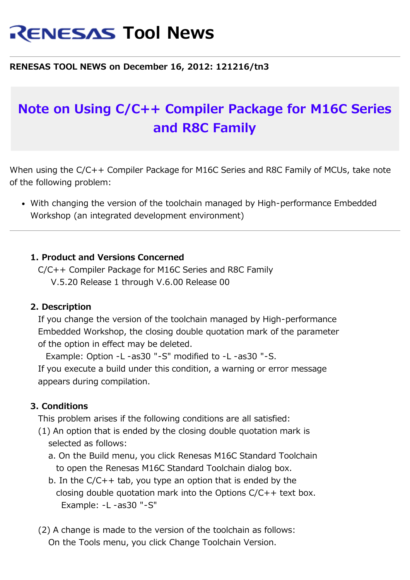# **RENESAS Tool News**

### **RENESAS TOOL NEWS on December 16, 2012: 121216/tn3**

## **Note on Using C/C++ Compiler Package for M16C Series and R8C Family**

When using the C/C++ Compiler Package for M16C Series and R8C Family of MCUs, take note of the following problem:

With changing the version of the toolchain managed by High-performance Embedded Workshop (an integrated development environment)

#### **1. Product and Versions Concerned**

 C/C++ Compiler Package for M16C Series and R8C Family V.5.20 Release 1 through V.6.00 Release 00

#### **2. Description**

 If you change the version of the toolchain managed by High-performance Embedded Workshop, the closing double quotation mark of the parameter of the option in effect may be deleted.

 Example: Option -L -as30 "-S" modified to -L -as30 "-S. If you execute a build under this condition, a warning or error message appears during compilation.

#### **3. Conditions**

This problem arises if the following conditions are all satisfied:

- (1) An option that is ended by the closing double quotation mark is selected as follows:
	- a. On the Build menu, you click Renesas M16C Standard Toolchain to open the Renesas M16C Standard Toolchain dialog box.
	- b. In the  $C/C++$  tab, you type an option that is ended by the closing double quotation mark into the Options C/C++ text box. Example: -L -as30 "-S"
- (2) A change is made to the version of the toolchain as follows: On the Tools menu, you click Change Toolchain Version.